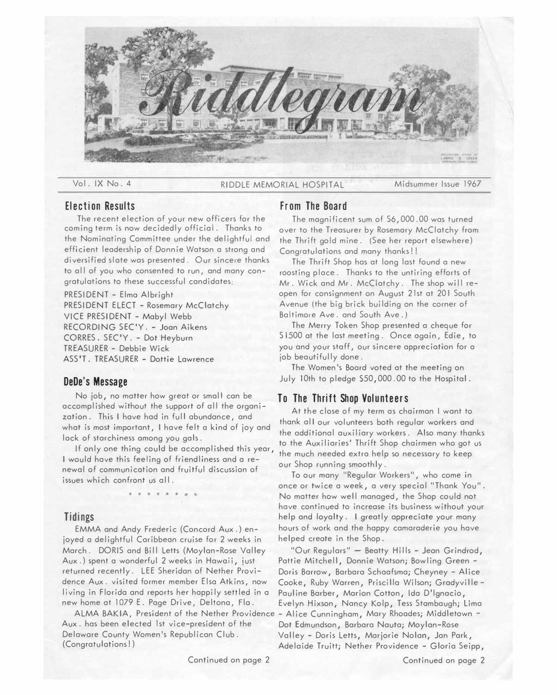

Vol. IX No. 4 RIDDLE MEMORIAL HOSPITAL Midsummer Issue 1967

# **Election Results**

The recent election of your new officers for the coming term is now decidedly official. Thanks to the Nominating Committee under the delightful and efficient leadership of Donnie Watson a strong and diversified slate was presented. Our sincere thanks to all of you who consented to run, and many congratulations to these successful candidates:

PRESIDENT - Elmo Albright PRESIDENT ELECT - Rosemary McClatchy VICE PRESIDENT - Mabyl Webb RECORDING SEC'Y. - Joon Aikens CORRES. SEC'Y. - Dot Heyburn TREASURER - Debbie Wick ASS'T. TREASURER - Dottie Lawrence

## **DeDe's Message**

No job, no matter how great or small can be accomplished without the support of all the organization. This I hove had in full abundance, and what is most important, I have felt a kind of joy and lack of starchiness among you gals.

If only one thing could be accomplished this year, I would have this feeling of friendliness and a renewal of communication and fruitful discussion of issues which confront us all

\* \* \* \* \* \*

EMMA and Andy Frederic (Concord Aux.) en-<br>
red a delightful Caribbean cruise for 2 weeks in helped create in the Shop. joyed a delightful Caribbean cruise for 2 weeks in March. DORIS and Bill Letts (Moylan-Rose Valley "Our Regulars" - Beatty Hills - Jean Grindrod, Aux.) spent a wonderful 2 weeks in Hawaii, just Pattie Mitchell, Donnie Watson; Bowling Green returned recently. LEE Sheridan of Nether Provi- Doris Barrow, Barbara Schaafsma; Cheyney - Alice dence Aux. visited former member Elsa Atkins, now Cooke, Ruby Warren, Priscilla Wilson; Grodyvilleliving in Florido and reports her happily settled in a Pauline Barber, Marion Cotton, Ida D'lgnocio,

ALMA BAKIA, President of the Nether Providence – Alice Cunningham, Mary Rhoades; Middletown –<br>Aux. has been elected 1st vice-president of the Dot Edmundson, Barbara Nauta: Movlan-Rose Delaware County Women's Republican Club. Valley - Doris Letts, Marjorie Nolan, Jan Park,<br>Congratulations!) (Congratulations)

# **From The Board**

The magnificent sum of S6,000.00 was turned over to the Treasurer by Rosemary McClatchy from the Thrift gold mine. (See her report elsewhere) Congratulations and many thanks!!

The Thrift Shop has at long last found a new roosting place. Thanks to the untiring efforts of Mr. Wick and Mr. McClatchy. The shop will reopen for consignment on August 21st at 201 South Avenue (the big brick building on the corner of Baltimore Ave. and South Ave.)

The Merry Token Shop presented a cheque for S 1500 at the last meeting. Once again, Edie, to you and your staff, our sincere appreciation for a job beautifully done.

The Women's Board voted at the meeting on July 10th to pledge \$50,000.00 to the Hospital.

# **To The Thrift Shop Volunteers**

At the close of my term as chairman I want to thank all our volunteers both regular workers and the additional auxiliary workers. Also many thanks to the Auxiliaries' Thrift Shop chairmen who got us the much needed extra help so necessary to keep our Shop running smoothly.

To our many "Regular Workers", who come in once or twice a week, a very special "Thank You". No matter how well managed, the Shop could not have continued to increase its business without your **Tidings** help and loyalty. I greatly appreciate your many<br>FMMA and Andy Frederic (Concord Aux.) en- hours of work and the happy camaraderie you have

> Evelyn Hixson, Nancy Kolp, Tess Stambaugh; Lima Dot Edmundson, Barbara Nauta; Moylan-Rose Adelaide Truitt; Nether Providence - Gloria Seipp,

Continued on page 2 Continued on page 2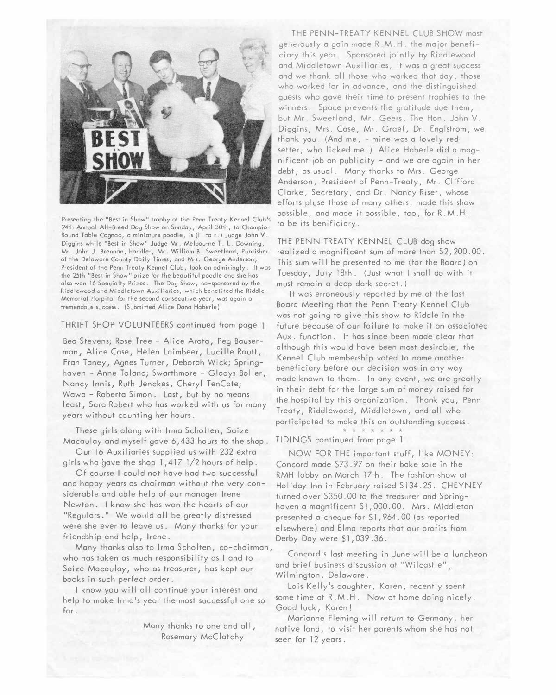

Presenting the "Best in Show" trophy ot the Penn Treaty Kennel Club's 24th Annual All-Breed Dog Show on Sunday, April 30th, to Chompion Round Table Cognac, a miniature poodle, is (I. to r.) Judge John V. Diggins while "Best in Show" Judge Mr. Melbourne T. L. Downing, Mr. John J. Brennan, handler, Mr. Williom B. Sweetland, Publisher of the Delaware County Daily Times, and Mrs. George Anderson, President of the Penn Treaty Kennel Club, look on odmiringly. It was the 25th "Best in Show" prize for the beautiful poodle ond she has also won 16 Specialty Prizes. The Dog Show, co-sponsored by the **Riddlewood and Middletown Auxiliaries, which benefited the Riddle Memorial Horpital for the second consecutive year, was again a**  tremendous success. (Submitted Alice Dana Haberle)

### THRIFT SHOP VOLUNTEERS continued from page 1

Bea Stevens; Rose Tree - Alice Arata, Peg Bauserman, Alice Case, Helen Laimbeer, Lucille Routt, Fran Taney, Agnes Turner, Deborah Wick; Springhaven - Anne Toland; Swarthmore - Gladys Boller, Nancy Innis, Ruth Jenc*k*es, Cheryl TenCate; Wawa - Roberta Simon . Last, but by no means least, Sara Robert who has wor*k*ed with us for many years without counting her hours.

These girls along with Irma Scholten, Saize Macaulay and myself gave 6, 433 hours to the sho*p*.

Our 16 Auxiliaries su*pp*lied us with 232 extra girls who gave the sho*p* 1, 417 1/2 hours of hel*p*.

Of course I could not have had two successful and ha*pp*y years as chairman without the very considerable and able hel*p* of our manager Irene Newton*.* I *k*now she has won the hearts of our "Regulars." We wou*l*d all be greatly distressed were she ever to leave us*.* Many than*k*s for your friendshi*p* and hel*p*, Irene.

Many than*k*s also to Irma Scholten, co-chairman, who has ta*k*en as much res*p*onsibility as I and to Saize Macau lay, who as treasurer, has *k*e*p*t our boo*k*s in such *p*erfect order.

I *k*now you will all continue your interest and help to make Irma's year the most successful one so far.

> Many thanks to one and all, Rosemary McClatchy

THE PENN-TREATY KENNEL CLUB SHOW most generously a gain made R.M.H. the major beneficiary this year. Sponsored jointly by Riddlewood and Middletown Auxiliaries, it was a great success and we thank all those who worked that day, those who wor*k*ed far in advance, and the distinguished guests who gave their time to *p*resent tro*p*hies to the winners. S*p*ace *p*revents the gratitude due them, but Mr. Sweet land, Mr. Geers, The Hon. John V. Diggins, Mrs. Case, Mr. Graef, Dr. Englstrom, we than*k* you. (And me, - mine was a lovely red setter, who licked me.) Alice Haberle did a magnificent *j*ob on *p*ublicity - and we are again in her debt, as usual. Many thanks to Mrs. George Anderson, President of Penn-Treaty, Mr. Clifford Clar*k*e, Secretary, and Dr. Nancy Riser, whose efforts *p*luse those of many others, made this show *p*ossible, and made it *p*ossible, too, for R. M. H. to be its benificiary.

THE PENN TREATY KENNEL CLUB dog show realized a magnificent sum of more than S2,200.00. This sum will be *p*resented to me (for the Board) on Tuesday, Ju*l*y 18th*.* (Just what I shall do with it must remain a dee*p* dar*k* secret.)

It was erroneously re*p*orted by me at the last Board Meeting that the Penn Treaty Kennel Club was not going to give this show to Riddle in the future because of our failure to ma*k*e it on associated Aux. function*.* It hos since been made clear that although this would have been most desirable, the Kennel Club membershi*p* voted to name another beneficiary before our decision was in any way made *k*nown to them. In any event, we are great*l*y in their debt for the large sum of money raised for the hos*p*ital by this organization. Than*k* you, Penn Treaty, Riddlewood, Middletown, and a*l*l who participated to make this an outstanding success.

TIDINGS continued from *p*age I

NOW FOR THE important stuff, like MONEY: Concord made S73. 97 on their ba*k*e so*l*e in the RMH lobby on March 17th. The fashion show at Holiday Inn in February raised S134.25. CHEYNEY turned over S350. 00 to the treasurer and S*p*ringhaven a magnificent Sl ,000.00. M*r*s*.* Middleton *p*resented a cheque for S l, 964. 00 (as re*p*orted elsewhere) and Elma re*p*orts that our *p*rofits from Derby Day were \$1,039.36.

Concord's last meeting in June will be a luncheon and brief business discussion at "Wilcastle" Wilmington, Delaware.

Lois Kelly's daughter, Karen, recently s*p*ent some time at R.M.H. Now at home doing nicely. Good luck, Karen!

Marianne Fleming will return to Germany, her native land, to visit her *p*arents whom she has not seen for 12 years.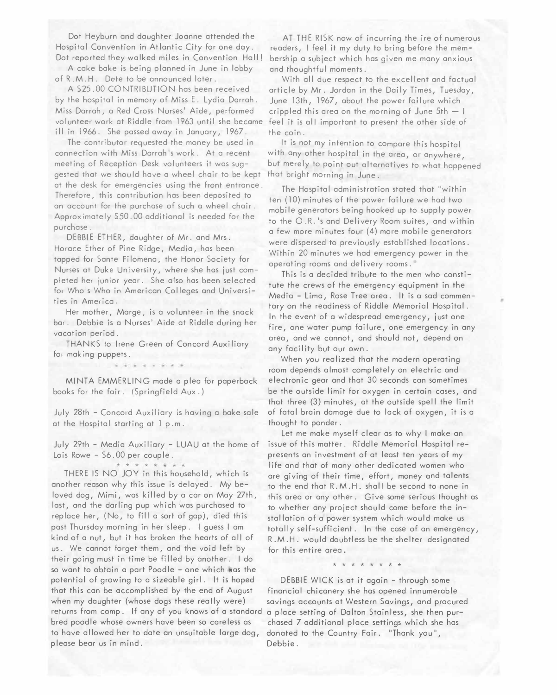Dot Heyburn and daughter Joanne attended the Hospital Convention in Atlantic City for one day. Dot reported they walked miles in Convention Hall!

A cake bake is being planned in June in lobby of R.M.H. Date to be announced later.

A S25.00 CONTRIBUTION has been received by the hospital in memory of Miss E. Lydia Darrah. Miss Darrah, a Red Cross Nurses' Aide, performed volunteer work at Riddle from 1963 until she became ill in 1966. She passed away in January, 1967.

The contributor requested the money be used in connection with Miss Darrah's work. At a recent meeting of Reception Desk volunteers it was suggested that we shou Id have a wheel chair to be kept at the desk for emergencies using the front entrance. Therefore, this contribution has been deposited to an account for the purchase of such a wheel chair. Approximately SS0.00 additional is needed for the purchase.

DEBBIE ETHER, daughter of Mr. and Mrs. Horace Ether of Pine Ridge, Media, has been tapped for Sante Filomena, the Honor Society for Nurses at Duke University, where she has just com<sup>p</sup>leted her junior year. She also has been selected fo, Who's Who in American Colleges and Universities in America.

Her mother, Marge, is a volunteer in the snack bar. Debbie is a Nurses' Aide at Riddle during her vacot ion period.

THANKS to Irene Green of Concord Auxiliary for making puppets.

MINTA EMMERLING made a plea for paperback books for the foir. (Springfield Aux.)

July 28th - Concord Auxiliary is having a bake sale at the Hospital starting at l p .m.

July 29th - Media Auxiliary - LUAU at the home of Lois Rowe - S6.00 per couple.

THERE IS NO JOY in this household, which is another reason why this issue is delayed. My beloved dog, Mimi, was killed by a car on Moy 27th, lost, and the darling pup which was purchased to replace her, (No, to fill a sort of gap), died this past Thursday morning in her sleep. I guess I am kind of a nut, but it has broken the hearts of all of us. We cannot forget them, and the void left by their going must in time be filled by another. I do so want to obtain a part Poodle - one which has the potential of growing to a sizeable girl. It is hoped that this can be accomplished by the end of August when my daughter (whose dogs these really were) returns from comp. If any of you knows of a standard bred poodle whose owners have been so careless as to hove allowed her to date an unsuitable large dog, <sup>p</sup>lease bear us in mind.

AT THE RISK now of incurring the ire of numerous readers, I feel it my duty to bring before the membership a subject which has given me many anxious and thoughtful moments.

With all due respect to the excellent and factual article by Mr. Jordan in the Daily Times, Tuesday, June 13th, 1967, about the power failure which crippled this area on the morning of June  $5th - 1$ feel it is all important to present the other side of the coin.

It is not my intention to compare this hospital with any other hospital in the area, or anywhere, but merely to point out alternatives to what happened that bright morning in June.

The Hospital administration stated that "within ten (10) minutes of the power foilure we had two mobile generators being hooked up to supply power to the O .R. 's and Delivery Room suites, and within a few more minutes four (4) more mobile generators were dispersed to previously established locations. Within 20 minutes we had emergency power in the operating rooms and delivery rooms."

This is a decided tribute to the men who constitute the crews of the emergency equipment in the Media - Lima, Rose Tree area. It is a sad commentary on the readiness of Riddle Memorial Hospital. In the event of a widespread emergency, just one fire, one water pump failure, one emergency in any area, and we cannot, and should not, depend on any facility but our own.

When you realized that the modern operating room depends almost completely on electric and electronic gear and that 30 seconds can sometimes be the outside limit for oxygen in certain cases, and that three (3) minutes, at the outside spell the limit of fatal brain damage due to lack of oxygen, it is a thought to ponder.

Let me make myself clear as to why I make an issue of this matter. Riddle Memorial Hospital represents an investment of at least ten years of my life and that of many other dedicated women who are giving of their time, effort, money and talents to the end that R.M.H. shall be second to none in this area or any other. Give some serious thought as to whether any project should come before the installation of a power system which would make us totally self-sufficient. In the case of an emergency, R.M.H. would doubtless be the shelter designated for this entire area.

\* \* \* \* \* \* \* \*

DEBBIE WICK is at it again - through some financial chicanery she has opened innumerable savings accounts at Western Savings, and procured a place setting of Dalton Stainless, she then purchased 7 additional place settings which she has donated to the Country Fair. "Thank you", Debbie.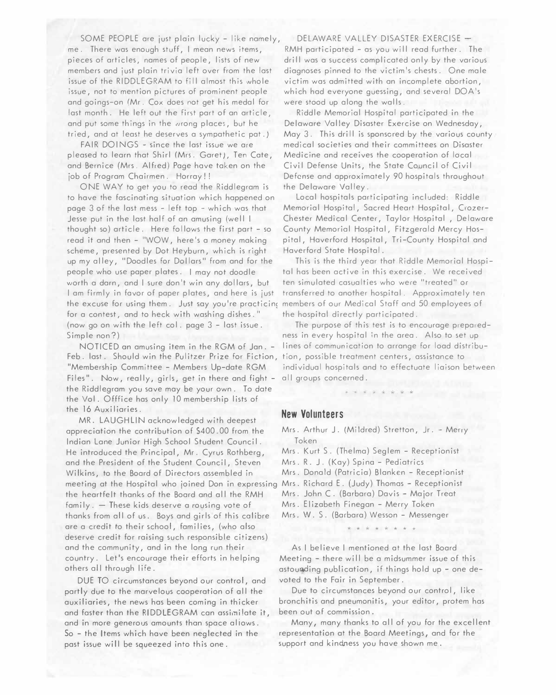SOME PEOPLE are just plain lucky - like namely, me. There was enough stuff, I mean news items, pieces of articles, names of people, lists of new members and just plain trivia left over from the last issue of the RIDDLEGRAM to fill almost this whole issue, not to mention pictures of prominent people and goings-on (Mr. Cox does not get his medal for last month. He left out the first part of an article, and put some things in the wrong places, but he tried, and at least he deserves a sympathetic pat.)

FAIR DOINGS - since the last issue we are pleased to learn that Shirl (Mrs. Garet), Ten Cate, and Bernice (Mrs. Alfred) Page have taken on the job of Program Chairmen. Horray!!

ONE WAY to get you to read the Riddlegram is to have the fascinating situation which happened on page 3 of the last mess - left top - which was that Jesse put in the last half of an amusing (well I thought so) article. Here follows the first part - so read it and then - "WOW, here's a money making scheme, presented by Dot Heyburn, which is right up my alley, "Doodles for Dollars" from and for the people who use paper plates. I may not doodle worth a darn, and I sure don't win any dollars, but I am firmly in favor of paper plates, and here is just the excuse for using them. Just say you're practicing for a contest, and to heck with washing dishes." (now go on with the left col. page 3 - last issue. Simple non?)

NOTICED an amusing item in the RGM of Jan. - Feb. last. Should win the Pulitzer Prize for Fiction, "Membership Committee - Members Up-date RGM Files". Now, really, girls, get in there and fight the Riddlegram you save may be your own. To date the Vol. Offfice has only 10 membership lists of the 16 Auxiliaries.

MR. LAUGHLIN acknowledged with deepest appreciation the contribution of �400. 00 from the Indian Lane Junior High School Student Council. meeting at the Hospital who joined Don in expressing Mrs . Richard E . (Judy) Thomas – Receptionist He introduced the Principal, Mr. Cyrus Rothberg, and the President of the Student Council, Steven Wilkins, to the Board of Directors assembled in the heartfelt thanks of the Board and all the RMH family. - These kids deserve a rousing vote of thanks from all of us. Boys and girls of this calibre are a credit to their school, families, (who also deserve credit for raising such responsible citizens) and the community, and in the long run their country. Let's encourage their efforts in helping others all through life.

DUE TO circumstances beyond our control, and partly due to the marvelous cooperation of all the auxiliaries, the news has been coming in thicker and faster than the RIDDLEGRAM can assimilate it, and in more generous amounts than space aliows. So - the Items which have been neglected in the past issue will be squeezed into this one.

DELAWARE VALLEY DISASTER EXERCISE -RMH participated - as you will read further. The drill was a success complicated only by the various diagnoses pinned to the victim's chests. One male victim was admitted with an incomplete abortion, which had everyone guessing, and several DOA's were stood up along the walls.

Riddle Memorial Hospital participated in the De laware Valley Disaster Exercise on Wednesday, May 3. This drill is sponsored by the various county medical societies and their committees on Disaster Medicine and receives the cooperation of local Civil Defense Units, the State Council of Civil Defense and approximately 90 hospitals throughout the Delaware Valley.

Local hospitals participating included: Riddle Memorial Hospital, Sacred Heart Hospital, Crozer-Chester Medical Center, Taylor Hospital , Delaware County Memorial Hospital, Fitzgerald Mercy Hospital, Haverford Hospital, Tri-County Hospital and Haverford State Hospital.

This is the third year that Riddle Memorial Hospital has been active in this exercise. We received ten simulated casualties who were "treated" or transferred to another hospital. Approximately ten members of our Medical Staff and 50 employees of the hospital directly participated.

The purpose of this test is to encourage preparedness in every hospital in the area. Also to set up lines of communication to arrange for load distribution, possible treatment centers, assistance to individual hospitals and to effectuate liaison between all groups concerned.

## **New Volunteers**

Mrs. Arthur J. (Mildred) Stretton, Jr. - Merry Token

Mrs. Kurt S. (Thelma) Seglem - Receptionist

Mrs. R. J. (Kay) Spina - Pediatrics

- Mrs. Donald (Patricia) Blanken Receptionist
- 
- Mrs. John C. (Barbara) Davis Major Treat
- Mrs. Elizabeth Finegan Merry Token
- Mrs. W. S. (Barbara) Wesson Messenger

\* \* \* \* \* \* \* \*

As I believe I mentioned at the last Board Meeting - there will be a midsummer issue of this astounding publication, if things hold up - one devoted to the Fair in September.

Due to circumstances beyond our control, like bronchitis and pneumonitis, your editor, protem has been out of commission.

Many, many thanks to all of you for the excellent representation at the Board Meetings, and for the support and kindness you have shown me.